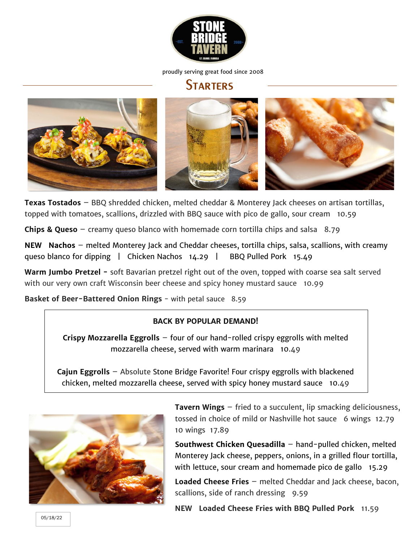

#### **STARTERS**



**Texas Tostados** – BBQ shredded chicken, melted cheddar & Monterey Jack cheeses on artisan tortillas, topped with tomatoes, scallions, drizzled with BBQ sauce with pico de gallo, sour cream 10.59

**Chips & Queso** – creamy queso blanco with homemade corn tortilla chips and salsa 8.79

**NEW Nachos** – melted Monterey Jack and Cheddar cheeses, tortilla chips, salsa, scallions, with creamy queso blanco for dipping | Chicken Nachos 14.29 | BBQ Pulled Pork 15.49

**Warm Jumbo Pretzel -** soft Bavarian pretzel right out of the oven, topped with coarse sea salt served with our very own craft Wisconsin beer cheese and spicy honey mustard sauce 10.99

**Basket of Beer-Battered Onion Rings - with petal sauce 8.59** 

#### **BACK BY POPULAR DEMAND!**

**Crispy Mozzarella Eggrolls** – four of our hand-rolled crispy eggrolls with melted mozzarella cheese, served with warm marinara 10.49

**Cajun Eggrolls** – Absolute Stone Bridge Favorite! Four crispy eggrolls with blackened chicken, melted mozzarella cheese, served with spicy honey mustard sauce 10.49



**Tavern Wings** – fried to a succulent, lip smacking deliciousness, tossed in choice of mild or Nashville hot sauce 6 wings 12.79 10 wings 17.89

**Southwest Chicken Quesadilla** – hand-pulled chicken, melted Monterey Jack cheese, peppers, onions, in a grilled flour tortilla, with lettuce, sour cream and homemade pico de gallo 15.29

**Loaded Cheese Fries** – melted Cheddar and Jack cheese, bacon, scallions, side of ranch dressing 9.59

**NEW Loaded Cheese Fries with BBQ Pulled Pork** 11.59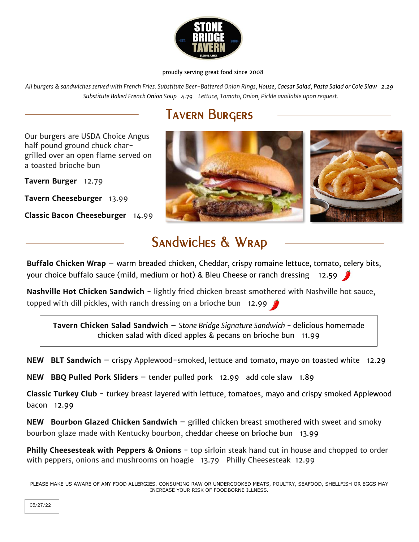

*All burgers & sandwiches served with French Fries. Substitute Beer-Battered Onion Rings, House, Caesar Salad, Pasta Salad or Cole Slaw 2.29 Substitute Baked French Onion Soup 4.79 Lettuce, Tomato, Onion, Pickle available upon request.*

# Tavern Burgers

Our burgers are USDA Choice Angus half pound ground chuck chargrilled over an open flame served on a toasted brioche bun

**Tavern Burger** 12.79

**Tavern Cheeseburger** 13.99

**Classic Bacon Cheeseburger** 14.99



## Sandwiches & Wrap

**Buffalo Chicken Wrap** – warm breaded chicken, Cheddar, crispy romaine lettuce, tomato, celery bits, your choice buffalo sauce (mild, medium or hot) & Bleu Cheese or ranch dressing 12.59

**Nashville Hot Chicken Sandwich** - lightly fried chicken breast smothered with Nashville hot sauce, topped with dill pickles, with ranch dressing on a brioche bun 12.99  $\triangle$ 

**Tavern Chicken Salad Sandwich** – *Stone Bridge Signature Sandwich -* delicious homemade chicken salad with diced apples & pecans on brioche bun 11.99

**NEW BLT Sandwich** – crispy Applewood-smoked, lettuce and tomato, mayo on toasted white 12.29

**NEW BBQ Pulled Pork Sliders** – tender pulled pork 12.99 add cole slaw 1.89

**Classic Turkey Club** - turkey breast layered with lettuce, tomatoes, mayo and crispy smoked Applewood bacon 12.99

**NEW Bourbon Glazed Chicken Sandwich** – grilled chicken breast smothered with sweet and smoky bourbon glaze made with Kentucky bourbon, cheddar cheese on brioche bun 13.99

**Philly Cheesesteak with Peppers & Onions** - top sirloin steak hand cut in house and chopped to order with peppers, onions and mushrooms on hoagie 13.79 Philly Cheesesteak 12.99

PLEASE MAKE US AWARE OF ANY FOOD ALLERGIES. CONSUMING RAW OR UNDERCOOKED MEATS, POULTRY, SEAFOOD, SHELLFISH OR EGGS MAY INCREASE YOUR RISK OF FOODBORNE ILLNESS.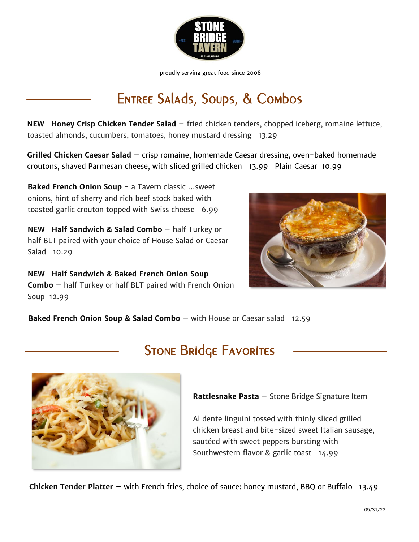

# Entree Salads, Soups, & Combos

**NEW Honey Crisp Chicken Tender Salad** – fried chicken tenders, chopped iceberg, romaine lettuce, toasted almonds, cucumbers, tomatoes, honey mustard dressing 13.29

**Grilled Chicken Caesar Salad** – crisp romaine, homemade Caesar dressing, oven-baked homemade croutons, shaved Parmesan cheese, with sliced grilled chicken 13.99 Plain Caesar 10.99

**Baked French Onion Soup** - a Tavern classic ...sweet onions, hint of sherry and rich beef stock baked with toasted garlic crouton topped with Swiss cheese 6.99

**NEW Half Sandwich & Salad Combo** – half Turkey or half BLT paired with your choice of House Salad or Caesar Salad 10.29

 **NEW Half Sandwich & Baked French Onion Soup Combo** – half Turkey or half BLT paired with French Onion Soup 12.99



**Baked French Onion Soup & Salad Combo** – with House or Caesar salad 12.59



## **STONE BRIDGE FAVORITES**

**Rattlesnake Pasta** – Stone Bridge Signature Item

Al dente linguini tossed with thinly sliced grilled chicken breast and bite-sized sweet Italian sausage, sautéed with sweet peppers bursting with Southwestern flavor & garlic toast 14.99

**Chicken Tender Platter** – with French fries, choice of sauce: honey mustard, BBQ or Buffalo 13.49